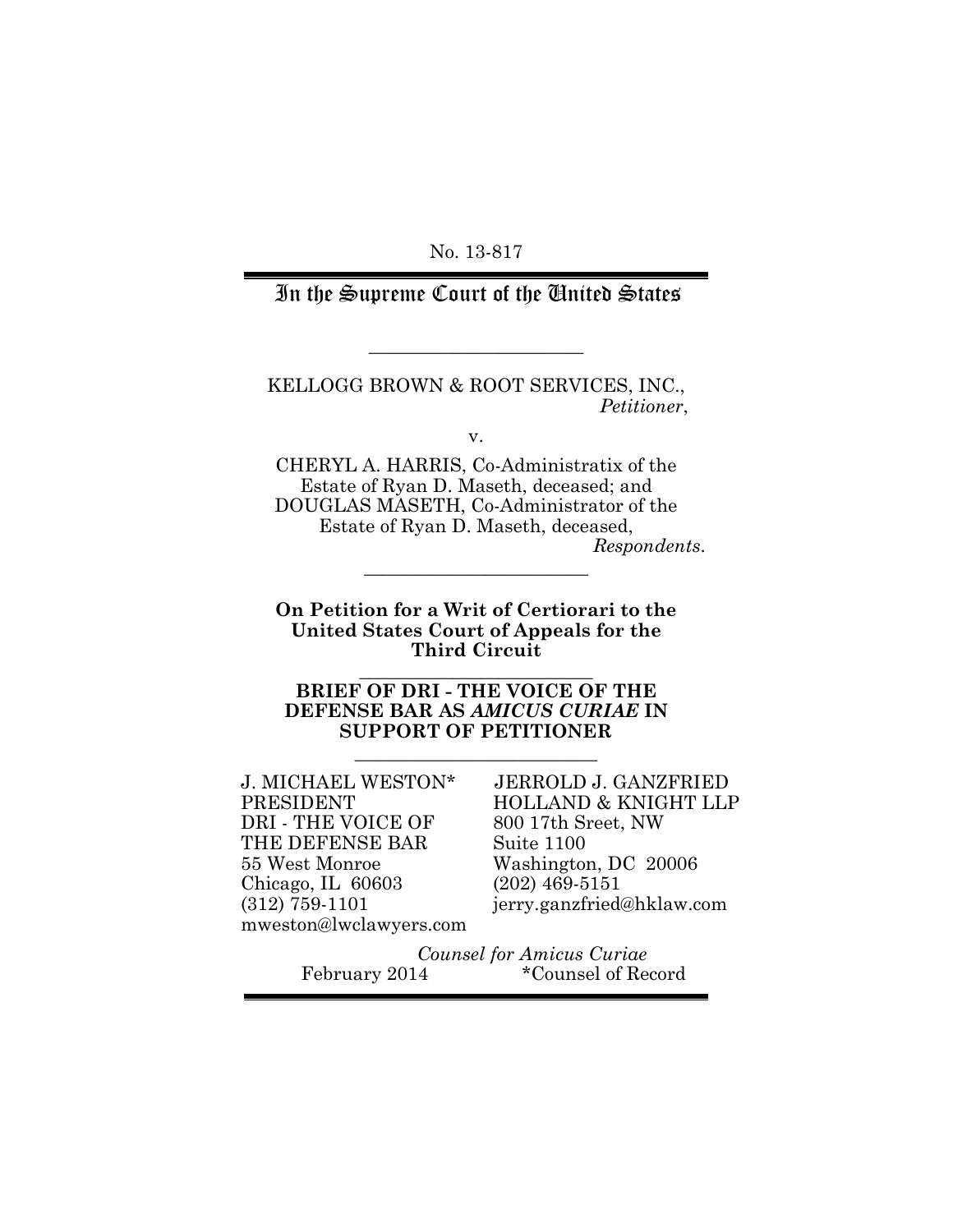No. 13-817

### In the Supreme Court of the United States

KELLOGG BROWN & ROOT SERVICES, INC., *Petitioner*,

**\_\_\_\_\_\_\_\_\_\_\_\_\_\_\_\_\_\_\_\_\_\_\_**

v.

CHERYL A. HARRIS, Co-Administratix of the Estate of Ryan D. Maseth, deceased; and DOUGLAS MASETH, Co-Administrator of the Estate of Ryan D. Maseth, deceased,

*Respondents*.

**On Petition for a Writ of Certiorari to the United States Court of Appeals for the Third Circuit**

\_\_\_\_\_\_\_\_\_\_\_\_\_\_\_\_\_\_\_\_\_\_\_\_\_

\_\_\_\_\_\_\_\_\_\_\_\_\_\_\_\_\_\_\_\_\_\_\_\_

**BRIEF OF DRI - THE VOICE OF THE DEFENSE BAR AS** *AMICUS CURIAE* **IN SUPPORT OF PETITIONER**

\_\_\_\_\_\_\_\_\_\_\_\_\_\_\_\_\_\_\_\_\_\_\_\_\_\_

J. MICHAEL WESTON\* PRESIDENT DRI - THE VOICE OF THE DEFENSE BAR 55 West Monroe Chicago, IL 60603 (312) 759-1101 mweston@lwclawyers.com

 JERROLD J. GANZFRIED HOLLAND & KNIGHT LLP 800 17th Sreet, NW Suite 1100 Washington, DC 20006 (202) 469-5151 jerry.ganzfried@hklaw.com

*Counsel for Amicus Curiae*<br>February 2014 **\***Counsel of Re \*Counsel of Record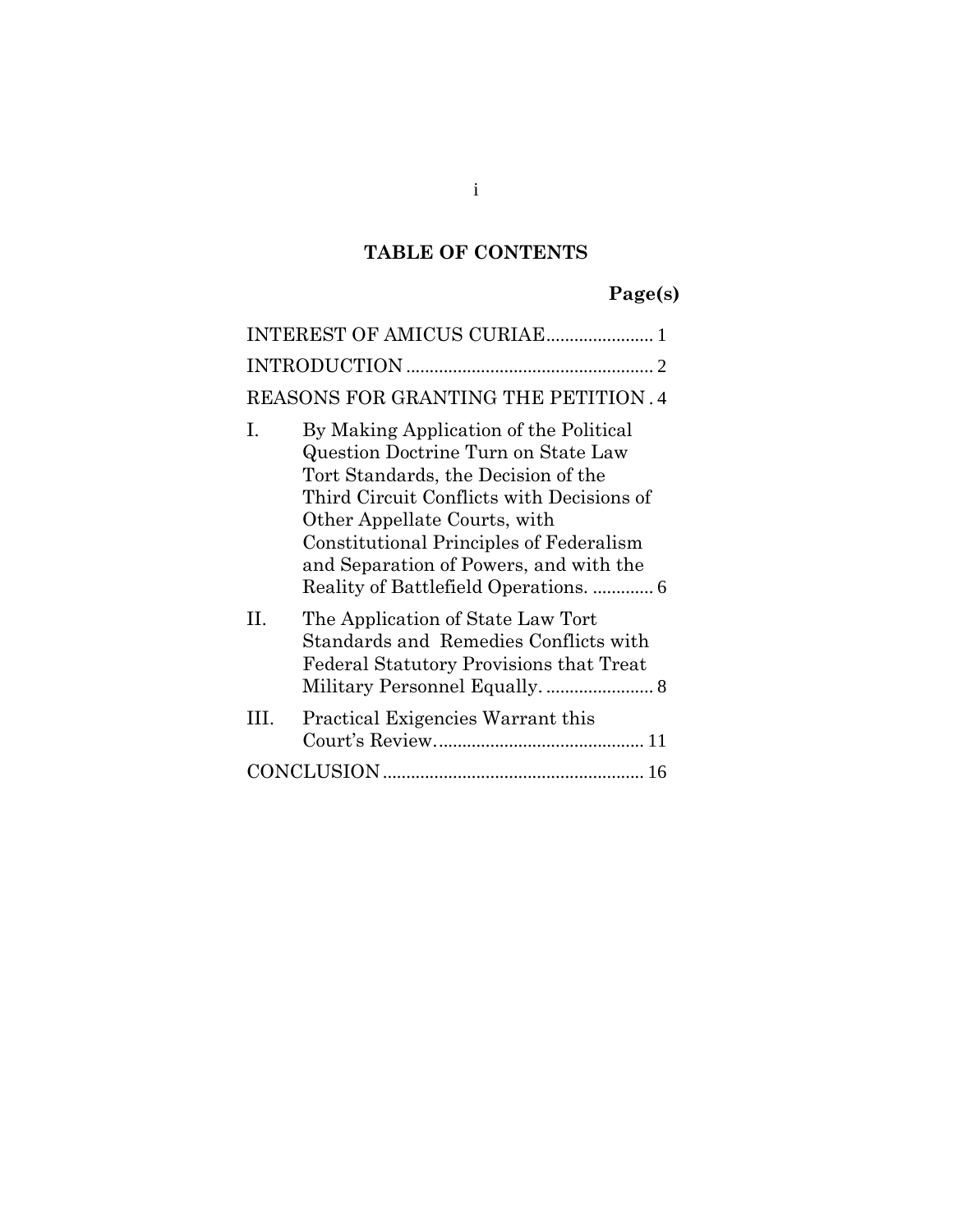## **TABLE OF CONTENTS**

## **Page(s)**

|                                      | INTEREST OF AMICUS CURIAE 1                                                                                                                                                                                                                                                            |  |
|--------------------------------------|----------------------------------------------------------------------------------------------------------------------------------------------------------------------------------------------------------------------------------------------------------------------------------------|--|
|                                      |                                                                                                                                                                                                                                                                                        |  |
| REASONS FOR GRANTING THE PETITION .4 |                                                                                                                                                                                                                                                                                        |  |
| $\mathbf{I}$                         | By Making Application of the Political<br>Question Doctrine Turn on State Law<br>Tort Standards, the Decision of the<br>Third Circuit Conflicts with Decisions of<br>Other Appellate Courts, with<br>Constitutional Principles of Federalism<br>and Separation of Powers, and with the |  |
| H.                                   | The Application of State Law Tort<br>Standards and Remedies Conflicts with<br>Federal Statutory Provisions that Treat                                                                                                                                                                  |  |
| III.                                 | Practical Exigencies Warrant this                                                                                                                                                                                                                                                      |  |
|                                      |                                                                                                                                                                                                                                                                                        |  |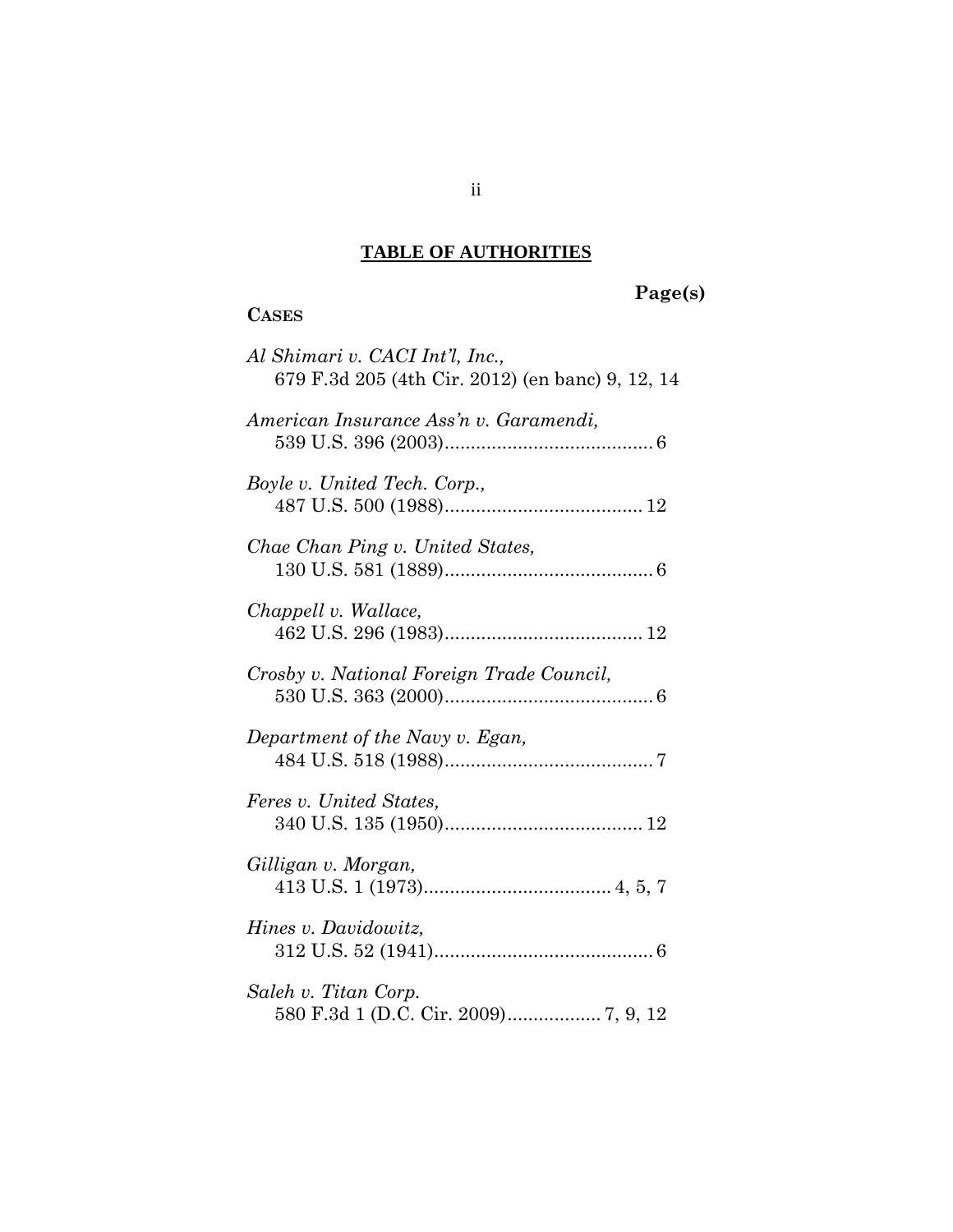#### **TABLE OF AUTHORITIES**

**CASES**

#### **Page(s)**

# *Al Shimari v. CACI Int'l, Inc.,* 679 F.3d 205 (4th Cir. 2012) (en banc) [9,](#page-13-0) [12,](#page-16-0) [14](#page-18-0) *American Insurance Ass'n v. Garamendi,* 539 U.S. 396 (2003)........................................ [6](#page-10-1) *Boyle v. United Tech. Corp.,* 487 U.S. 500 (1988)...................................... [12](#page-16-1) *Chae Chan Ping v. United States,* 130 U.S. 581 (1889)........................................ [6](#page-10-2) *Chappell v. Wallace,* 462 U.S. 296 (1983)...................................... [12](#page-16-2) *Crosby v. National Foreign Trade Council,* 530 U.S. 363 (2000)........................................ [6](#page-10-3) *Department of the Navy v. Egan,* 484 U.S. 518 (1988)........................................ [7](#page-11-0) *Feres v. United States,* 340 U.S. 135 (1950)...................................... [12](#page-16-3) *Gilligan v. Morgan,* 413 U.S. 1 (1973).................................... [4,](#page-8-1) [5,](#page-9-0) [7](#page-11-1) *Hines v. Davidowitz,* 312 U.S. 52 (1941).......................................... [6](#page-10-4) *Saleh v. Titan Corp.* 580 F.3d 1 (D.C. Cir. 2009).................. [7,](#page-11-2) [9,](#page-13-1) [12](#page-16-4)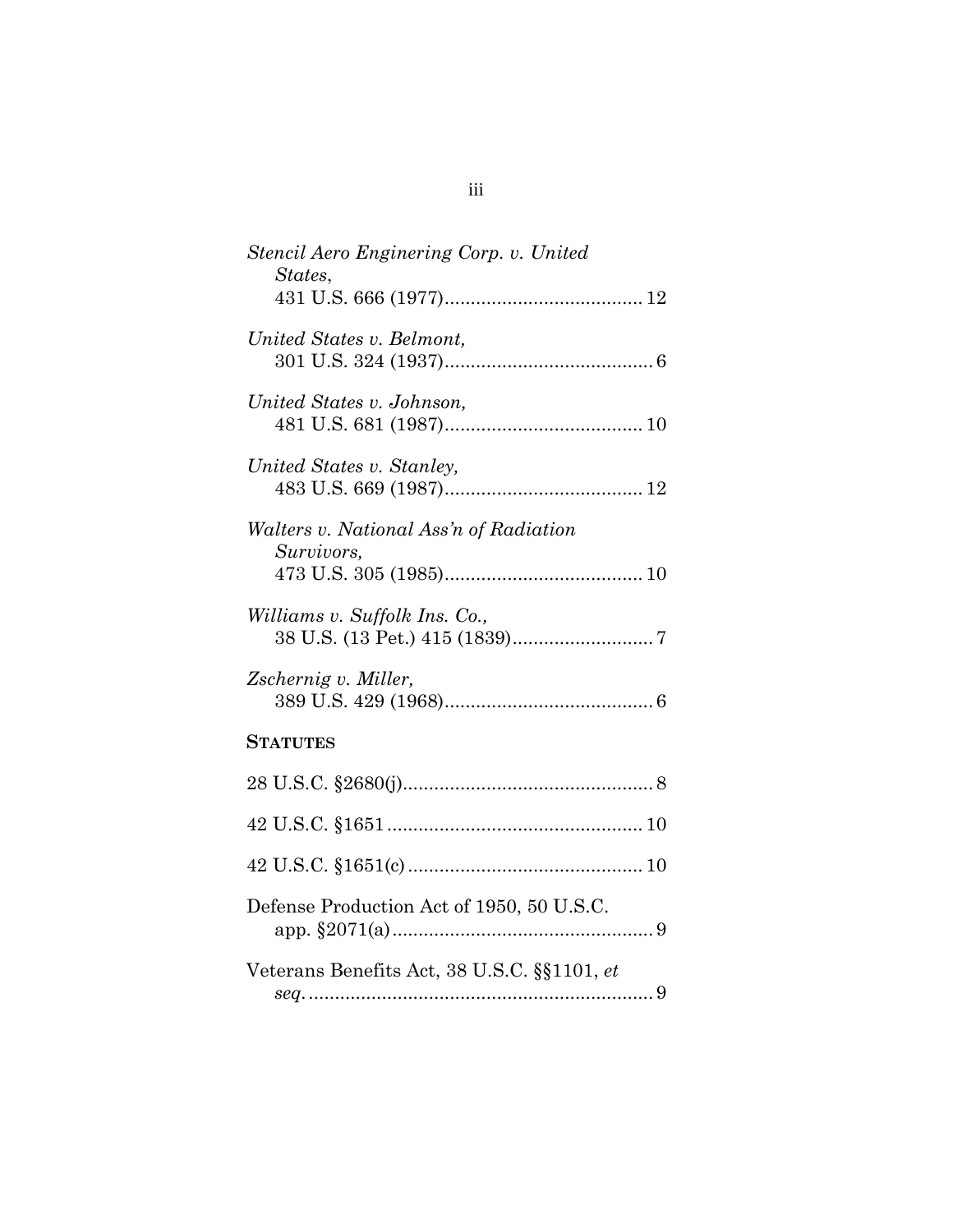| Stencil Aero Enginering Corp. v. United<br>States, |
|----------------------------------------------------|
| United States v. Belmont,                          |
| United States v. Johnson,                          |
| United States v. Stanley,                          |
| Walters v. National Ass'n of Radiation             |
| Survivors,                                         |
| Williams v. Suffolk Ins. Co.,                      |
| Zschernig v. Miller,                               |
| <b>STATUTES</b>                                    |
|                                                    |
|                                                    |
|                                                    |
| Defense Production Act of 1950, 50 U.S.C.          |
| Veterans Benefits Act, 38 U.S.C. §§1101, et        |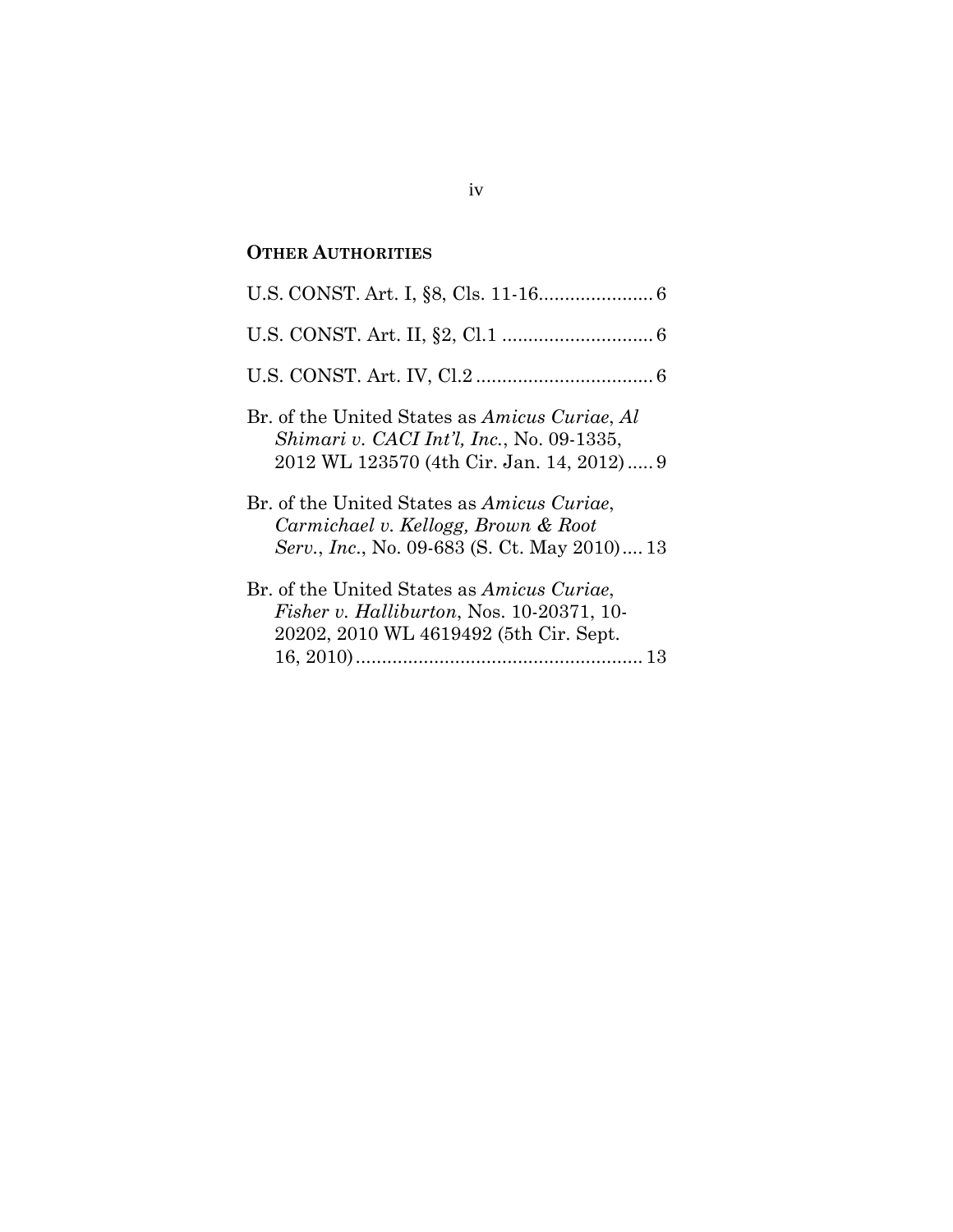## **OTHER AUTHORITIES**

| Br. of the United States as Amicus Curiae, Al<br>Shimari v. CACI Int'l, Inc., No. 09-1335,<br>2012 WL 123570 (4th Cir. Jan. 14, 2012) 9  |
|------------------------------------------------------------------------------------------------------------------------------------------|
| Br. of the United States as Amicus Curiae,<br>Carmichael v. Kellogg, Brown & Root<br>Serv., Inc., No. 09-683 (S. Ct. May 2010) 13        |
| Br. of the United States as Amicus Curiae,<br><i>Fisher v. Halliburton, Nos.</i> 10-20371, 10-<br>20202, 2010 WL 4619492 (5th Cir. Sept. |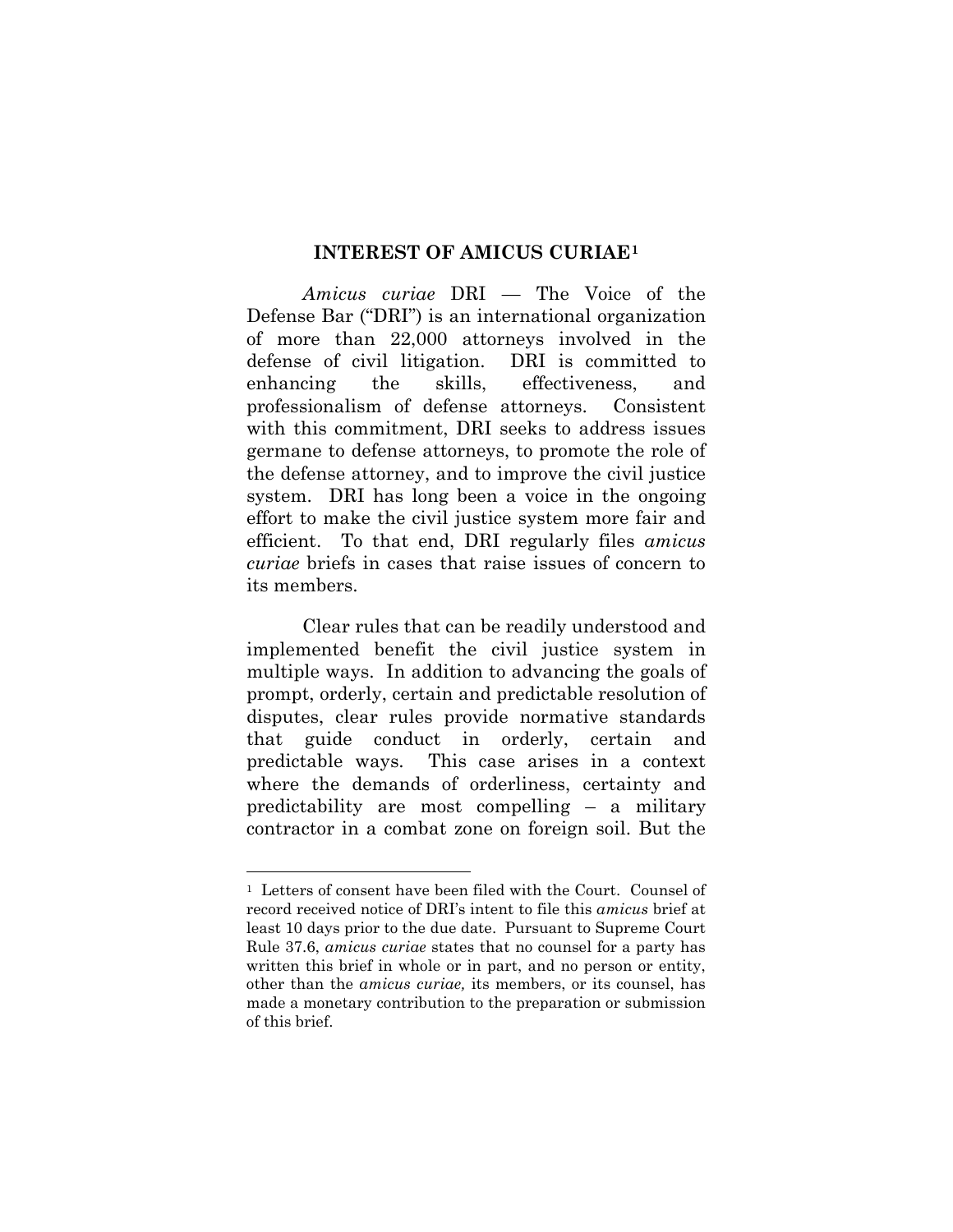#### **INTEREST OF AMICUS CURIAE[1](#page-5-1)**

<span id="page-5-0"></span>*Amicus curiae* DRI — The Voice of the Defense Bar ("DRI") is an international organization of more than 22,000 attorneys involved in the defense of civil litigation. DRI is committed to enhancing the skills, effectiveness, and professionalism of defense attorneys. Consistent with this commitment, DRI seeks to address issues germane to defense attorneys, to promote the role of the defense attorney, and to improve the civil justice system. DRI has long been a voice in the ongoing effort to make the civil justice system more fair and efficient. To that end, DRI regularly files *amicus curiae* briefs in cases that raise issues of concern to its members.

Clear rules that can be readily understood and implemented benefit the civil justice system in multiple ways. In addition to advancing the goals of prompt, orderly, certain and predictable resolution of disputes, clear rules provide normative standards that guide conduct in orderly, certain and predictable ways. This case arises in a context where the demands of orderliness, certainty and predictability are most compelling – a military contractor in a combat zone on foreign soil. But the

 $\overline{a}$ 

<span id="page-5-1"></span><sup>1</sup> Letters of consent have been filed with the Court. Counsel of record received notice of DRI's intent to file this *amicus* brief at least 10 days prior to the due date. Pursuant to Supreme Court Rule 37.6, *amicus curiae* states that no counsel for a party has written this brief in whole or in part, and no person or entity, other than the *amicus curiae,* its members, or its counsel, has made a monetary contribution to the preparation or submission of this brief.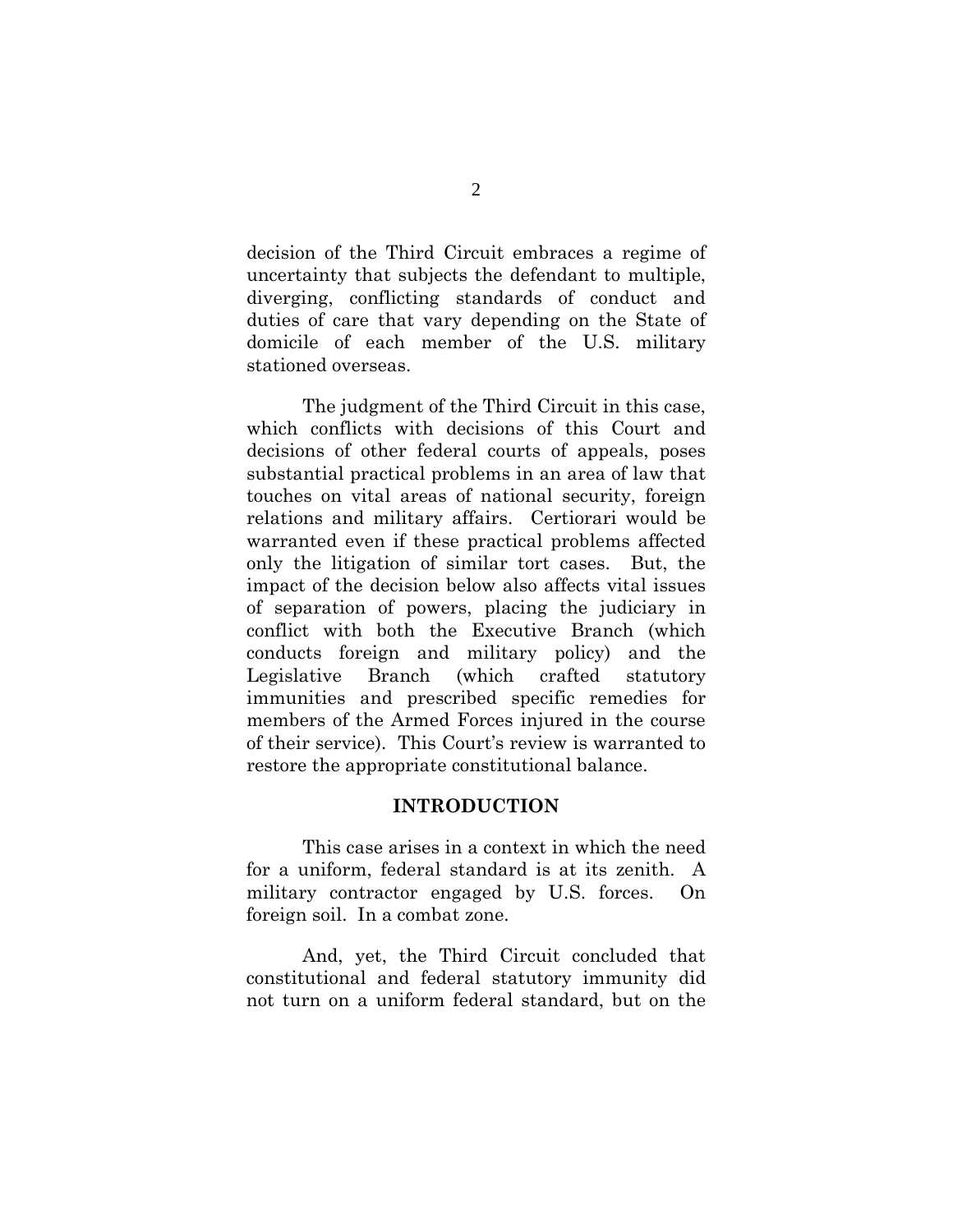decision of the Third Circuit embraces a regime of uncertainty that subjects the defendant to multiple, diverging, conflicting standards of conduct and duties of care that vary depending on the State of domicile of each member of the U.S. military stationed overseas.

The judgment of the Third Circuit in this case, which conflicts with decisions of this Court and decisions of other federal courts of appeals, poses substantial practical problems in an area of law that touches on vital areas of national security, foreign relations and military affairs. Certiorari would be warranted even if these practical problems affected only the litigation of similar tort cases. But, the impact of the decision below also affects vital issues of separation of powers, placing the judiciary in conflict with both the Executive Branch (which conducts foreign and military policy) and the Legislative Branch (which crafted statutory immunities and prescribed specific remedies for members of the Armed Forces injured in the course of their service). This Court's review is warranted to restore the appropriate constitutional balance.

#### **INTRODUCTION**

<span id="page-6-0"></span>This case arises in a context in which the need for a uniform, federal standard is at its zenith. A military contractor engaged by U.S. forces. On foreign soil. In a combat zone.

And, yet, the Third Circuit concluded that constitutional and federal statutory immunity did not turn on a uniform federal standard, but on the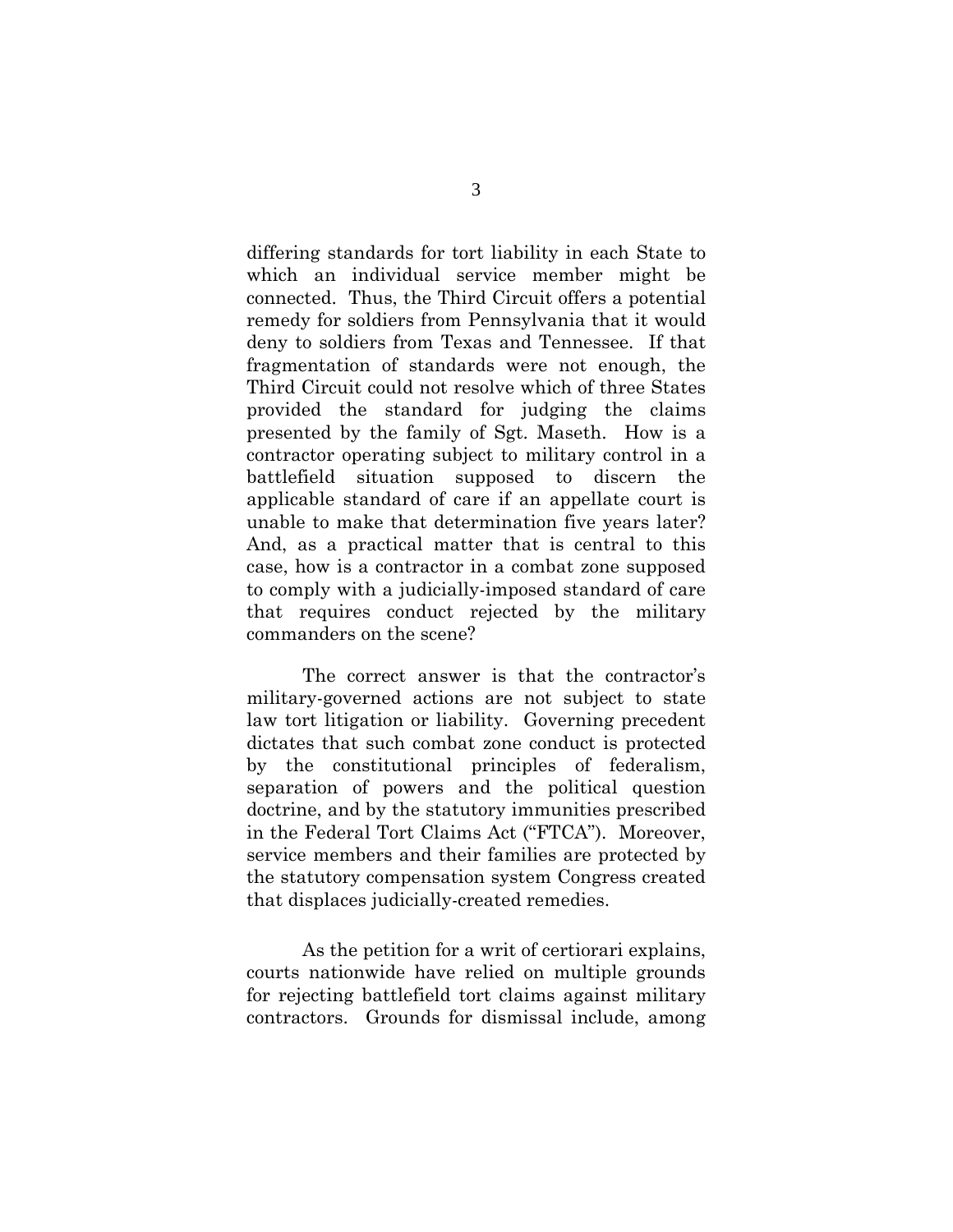differing standards for tort liability in each State to which an individual service member might be connected. Thus, the Third Circuit offers a potential remedy for soldiers from Pennsylvania that it would deny to soldiers from Texas and Tennessee. If that fragmentation of standards were not enough, the Third Circuit could not resolve which of three States provided the standard for judging the claims presented by the family of Sgt. Maseth. How is a contractor operating subject to military control in a battlefield situation supposed to discern the applicable standard of care if an appellate court is unable to make that determination five years later? And, as a practical matter that is central to this case, how is a contractor in a combat zone supposed to comply with a judicially-imposed standard of care that requires conduct rejected by the military commanders on the scene?

The correct answer is that the contractor's military-governed actions are not subject to state law tort litigation or liability. Governing precedent dictates that such combat zone conduct is protected by the constitutional principles of federalism, separation of powers and the political question doctrine, and by the statutory immunities prescribed in the Federal Tort Claims Act ("FTCA"). Moreover, service members and their families are protected by the statutory compensation system Congress created that displaces judicially-created remedies.

As the petition for a writ of certiorari explains, courts nationwide have relied on multiple grounds for rejecting battlefield tort claims against military contractors. Grounds for dismissal include, among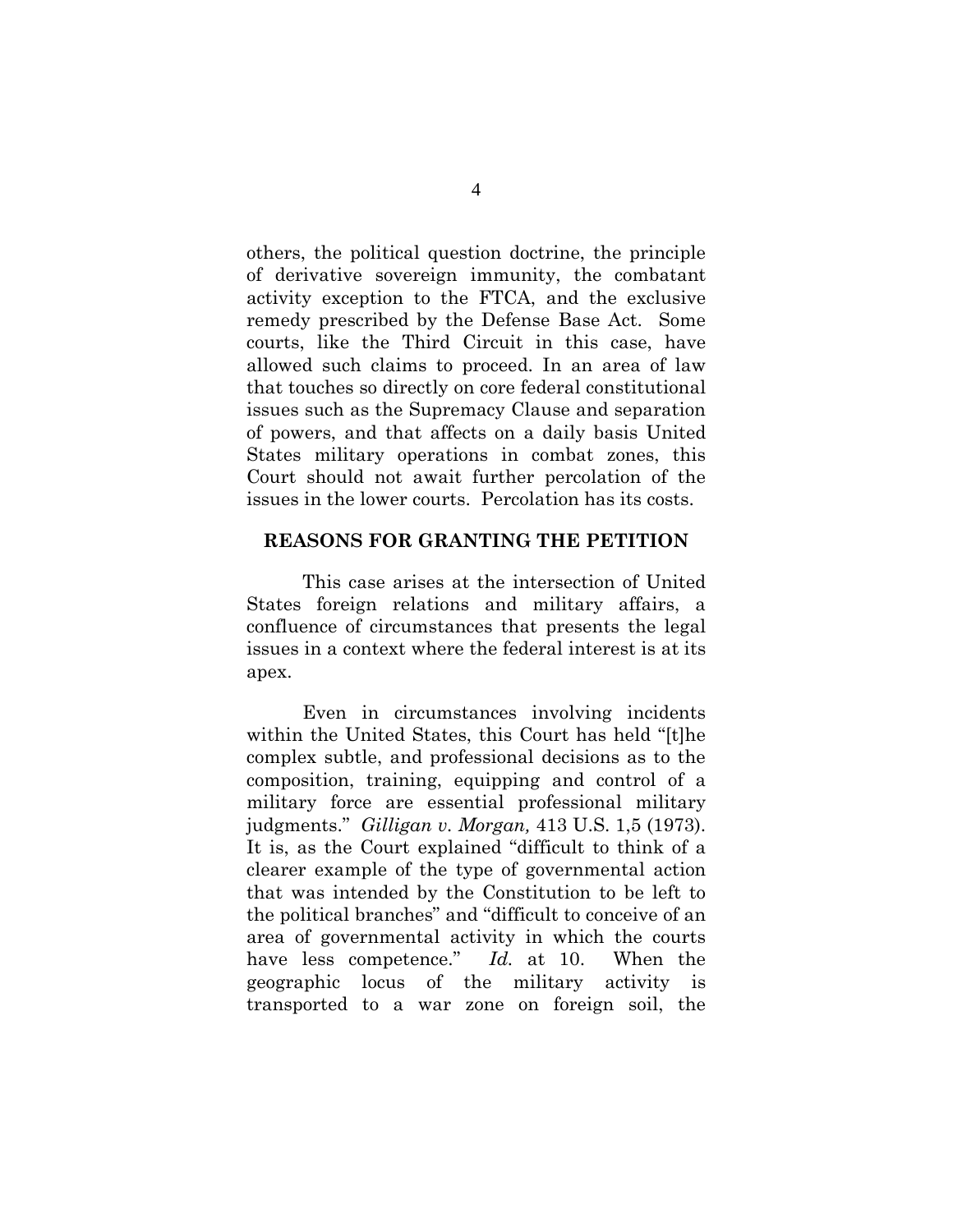others, the political question doctrine, the principle of derivative sovereign immunity, the combatant activity exception to the FTCA, and the exclusive remedy prescribed by the Defense Base Act. Some courts, like the Third Circuit in this case, have allowed such claims to proceed. In an area of law that touches so directly on core federal constitutional issues such as the Supremacy Clause and separation of powers, and that affects on a daily basis United States military operations in combat zones, this Court should not await further percolation of the issues in the lower courts. Percolation has its costs.

#### <span id="page-8-0"></span>**REASONS FOR GRANTING THE PETITION**

This case arises at the intersection of United States foreign relations and military affairs, a confluence of circumstances that presents the legal issues in a context where the federal interest is at its apex.

<span id="page-8-1"></span>Even in circumstances involving incidents within the United States, this Court has held "[t]he complex subtle, and professional decisions as to the composition, training, equipping and control of a military force are essential professional military judgments." *Gilligan v. Morgan,* 413 U.S. 1,5 (1973). It is, as the Court explained "difficult to think of a clearer example of the type of governmental action that was intended by the Constitution to be left to the political branches" and "difficult to conceive of an area of governmental activity in which the courts have less competence." *Id.* at 10. When the geographic locus of the military activity is transported to a war zone on foreign soil, the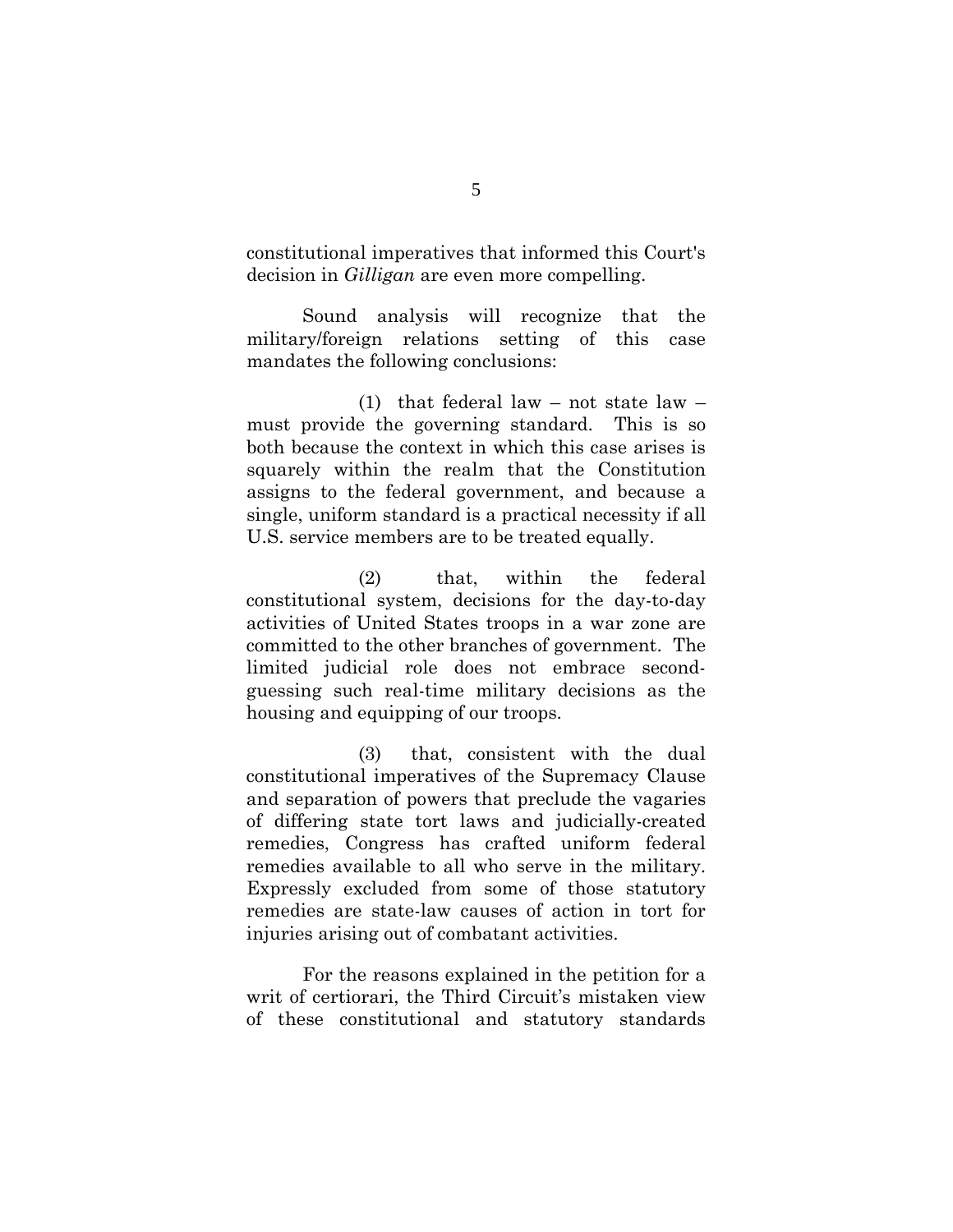<span id="page-9-0"></span>constitutional imperatives that informed this Court's decision in *Gilligan* are even more compelling.

Sound analysis will recognize that the military/foreign relations setting of this case mandates the following conclusions:

(1) that federal law – not state law – must provide the governing standard. This is so both because the context in which this case arises is squarely within the realm that the Constitution assigns to the federal government, and because a single, uniform standard is a practical necessity if all U.S. service members are to be treated equally.

(2) that, within the federal constitutional system, decisions for the day-to-day activities of United States troops in a war zone are committed to the other branches of government. The limited judicial role does not embrace secondguessing such real-time military decisions as the housing and equipping of our troops.

(3) that, consistent with the dual constitutional imperatives of the Supremacy Clause and separation of powers that preclude the vagaries of differing state tort laws and judicially-created remedies, Congress has crafted uniform federal remedies available to all who serve in the military. Expressly excluded from some of those statutory remedies are state-law causes of action in tort for injuries arising out of combatant activities.

For the reasons explained in the petition for a writ of certiorari, the Third Circuit's mistaken view of these constitutional and statutory standards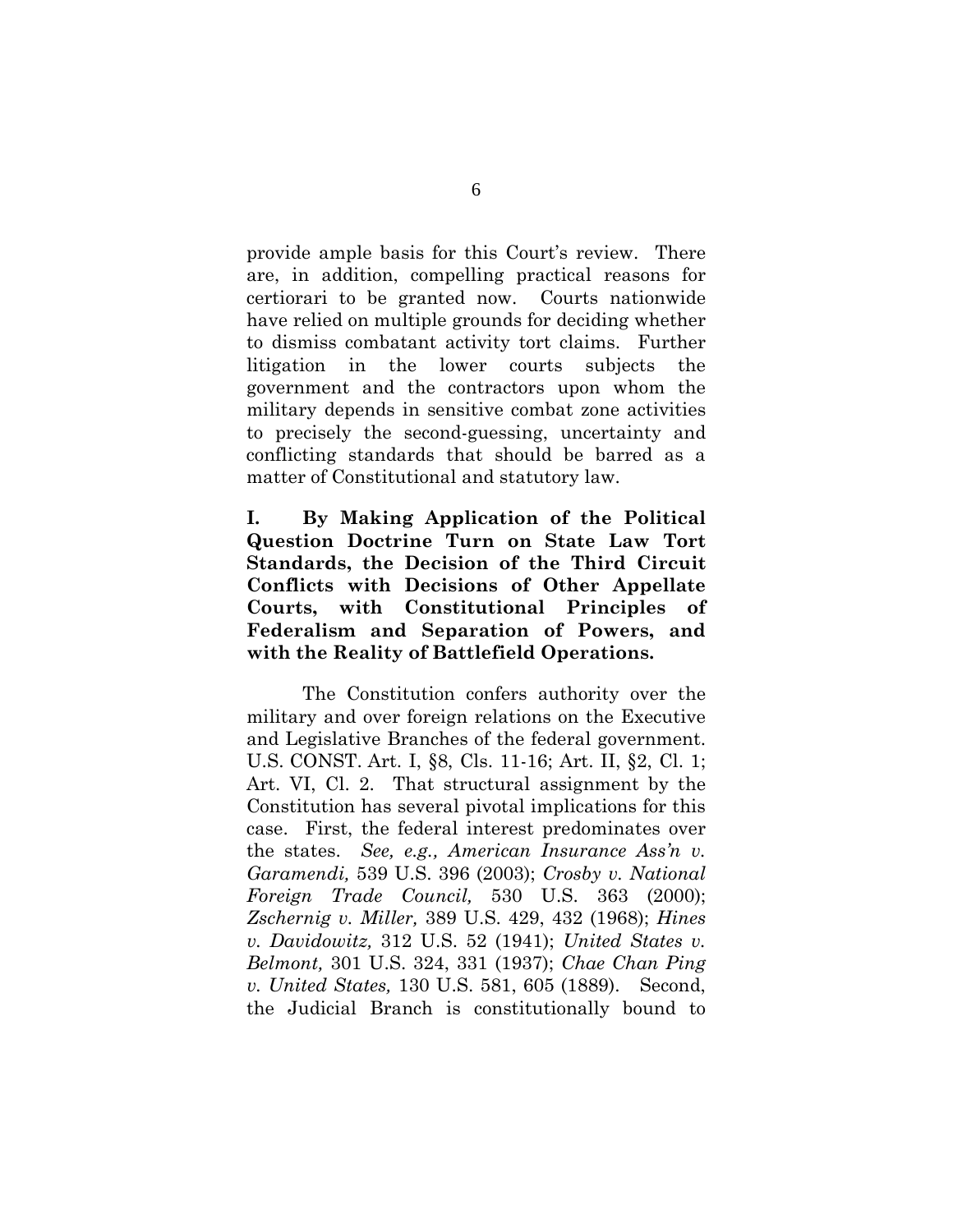provide ample basis for this Court's review. There are, in addition, compelling practical reasons for certiorari to be granted now. Courts nationwide have relied on multiple grounds for deciding whether to dismiss combatant activity tort claims. Further litigation in the lower courts subjects the government and the contractors upon whom the military depends in sensitive combat zone activities to precisely the second-guessing, uncertainty and conflicting standards that should be barred as a matter of Constitutional and statutory law.

<span id="page-10-0"></span>**I. By Making Application of the Political Question Doctrine Turn on State Law Tort Standards, the Decision of the Third Circuit Conflicts with Decisions of Other Appellate Courts, with Constitutional Principles of Federalism and Separation of Powers, and with the Reality of Battlefield Operations.**

<span id="page-10-7"></span><span id="page-10-6"></span><span id="page-10-5"></span><span id="page-10-4"></span><span id="page-10-3"></span><span id="page-10-2"></span><span id="page-10-1"></span>The Constitution confers authority over the military and over foreign relations on the Executive and Legislative Branches of the federal government. U.S. CONST. Art. I, §8, Cls. 11-16; Art. II, §2, Cl. 1; Art. VI, Cl. 2. That structural assignment by the Constitution has several pivotal implications for this case. First, the federal interest predominates over the states. *See, e.g., American Insurance Ass'n v. Garamendi,* 539 U.S. 396 (2003); *Crosby v. National Foreign Trade Council,* 530 U.S. 363 (2000); *Zschernig v. Miller,* 389 U.S. 429, 432 (1968); *Hines v. Davidowitz,* 312 U.S. 52 (1941); *United States v. Belmont,* 301 U.S. 324, 331 (1937); *Chae Chan Ping v. United States,* 130 U.S. 581, 605 (1889). Second, the Judicial Branch is constitutionally bound to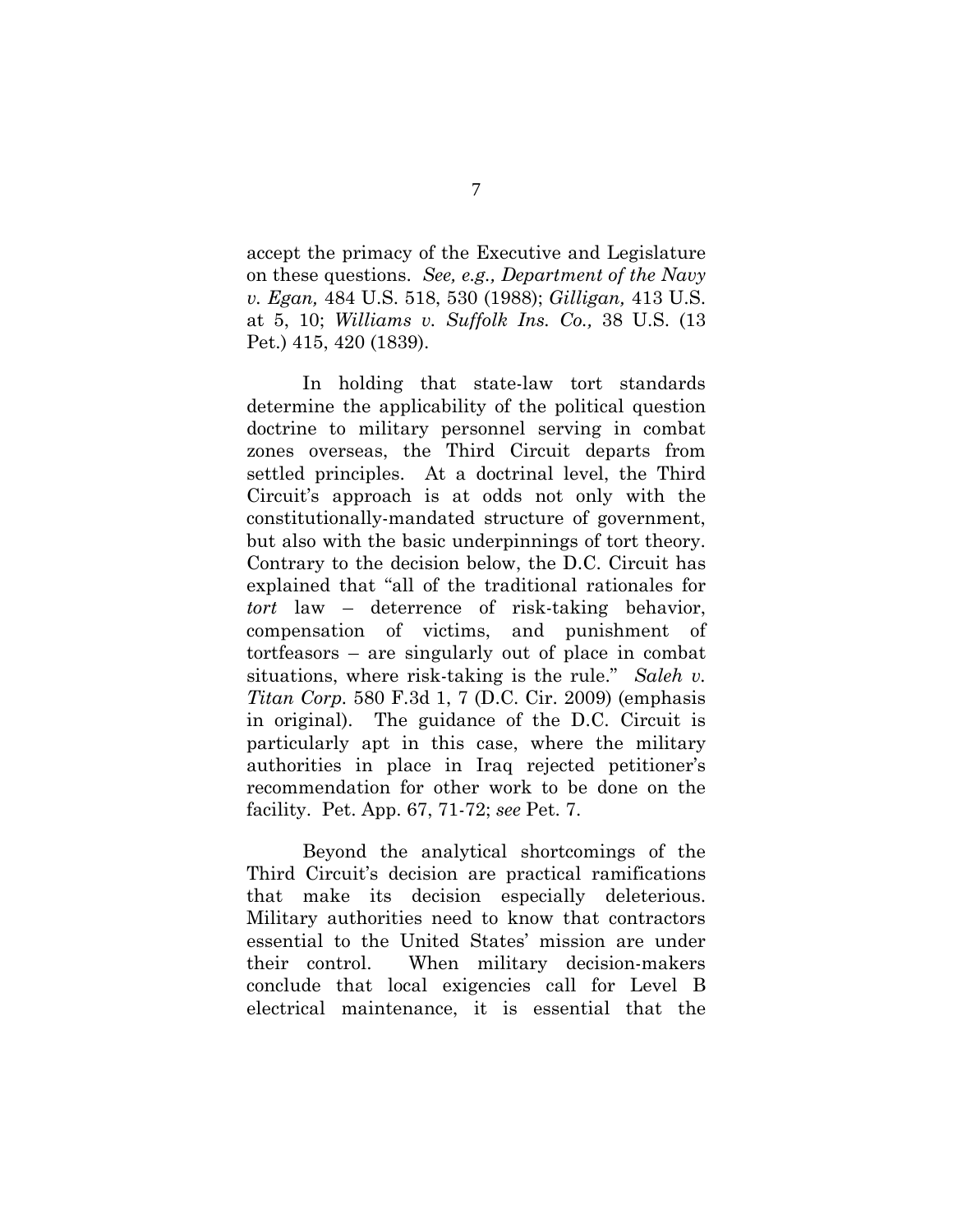<span id="page-11-3"></span><span id="page-11-1"></span><span id="page-11-0"></span>accept the primacy of the Executive and Legislature on these questions. *See, e.g., Department of the Navy v. Egan,* 484 U.S. 518, 530 (1988); *Gilligan,* 413 U.S. at 5, 10; *Williams v. Suffolk Ins. Co.,* 38 U.S. (13 Pet.) 415, 420 (1839).

In holding that state-law tort standards determine the applicability of the political question doctrine to military personnel serving in combat zones overseas, the Third Circuit departs from settled principles. At a doctrinal level, the Third Circuit's approach is at odds not only with the constitutionally-mandated structure of government, but also with the basic underpinnings of tort theory. Contrary to the decision below, the D.C. Circuit has explained that "all of the traditional rationales for *tort* law – deterrence of risk-taking behavior, compensation of victims, and punishment of tortfeasors – are singularly out of place in combat situations, where risk-taking is the rule." *Saleh v. Titan Corp.* 580 F.3d 1, 7 (D.C. Cir. 2009) (emphasis in original). The guidance of the D.C. Circuit is particularly apt in this case, where the military authorities in place in Iraq rejected petitioner's recommendation for other work to be done on the facility. Pet. App. 67, 71-72; *see* Pet. 7.

<span id="page-11-2"></span>Beyond the analytical shortcomings of the Third Circuit's decision are practical ramifications that make its decision especially deleterious. Military authorities need to know that contractors essential to the United States' mission are under their control. When military decision-makers conclude that local exigencies call for Level B electrical maintenance, it is essential that the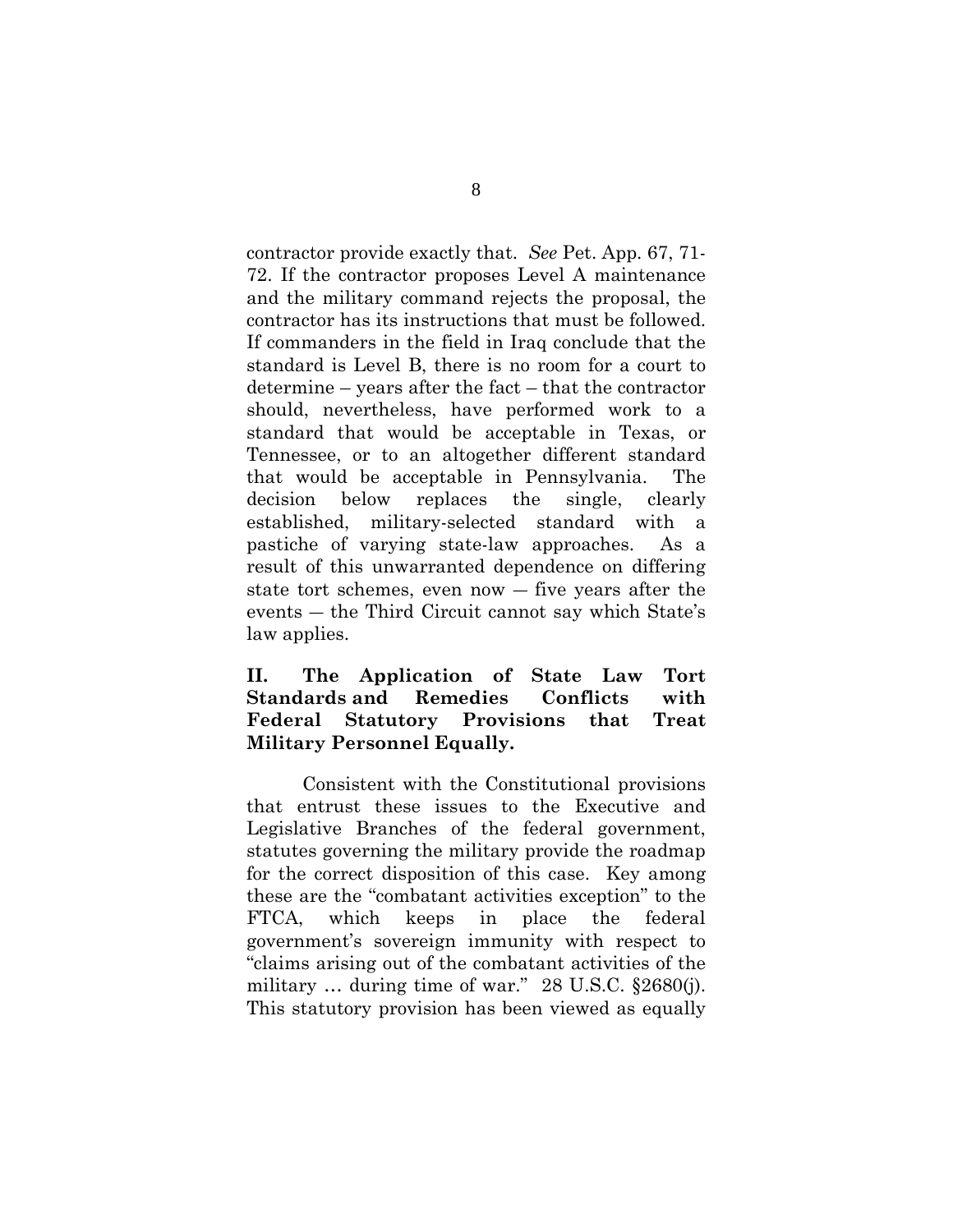contractor provide exactly that. *See* Pet. App. 67, 71- 72. If the contractor proposes Level A maintenance and the military command rejects the proposal, the contractor has its instructions that must be followed. If commanders in the field in Iraq conclude that the standard is Level B, there is no room for a court to determine – years after the fact – that the contractor should, nevertheless, have performed work to a standard that would be acceptable in Texas, or Tennessee, or to an altogether different standard that would be acceptable in Pennsylvania. The decision below replaces the single, clearly established, military-selected standard with a pastiche of varying state-law approaches. As a result of this unwarranted dependence on differing state tort schemes, even now ― five years after the events ― the Third Circuit cannot say which State's law applies.

#### <span id="page-12-0"></span>**II. The Application of State Law Tort Standards and Remedies Conflicts with Federal Statutory Provisions that Treat Military Personnel Equally.**

<span id="page-12-1"></span>Consistent with the Constitutional provisions that entrust these issues to the Executive and Legislative Branches of the federal government, statutes governing the military provide the roadmap for the correct disposition of this case. Key among these are the "combatant activities exception" to the FTCA, which keeps in place the federal government's sovereign immunity with respect to "claims arising out of the combatant activities of the military ... during time of war." 28 U.S.C. §2680(j). This statutory provision has been viewed as equally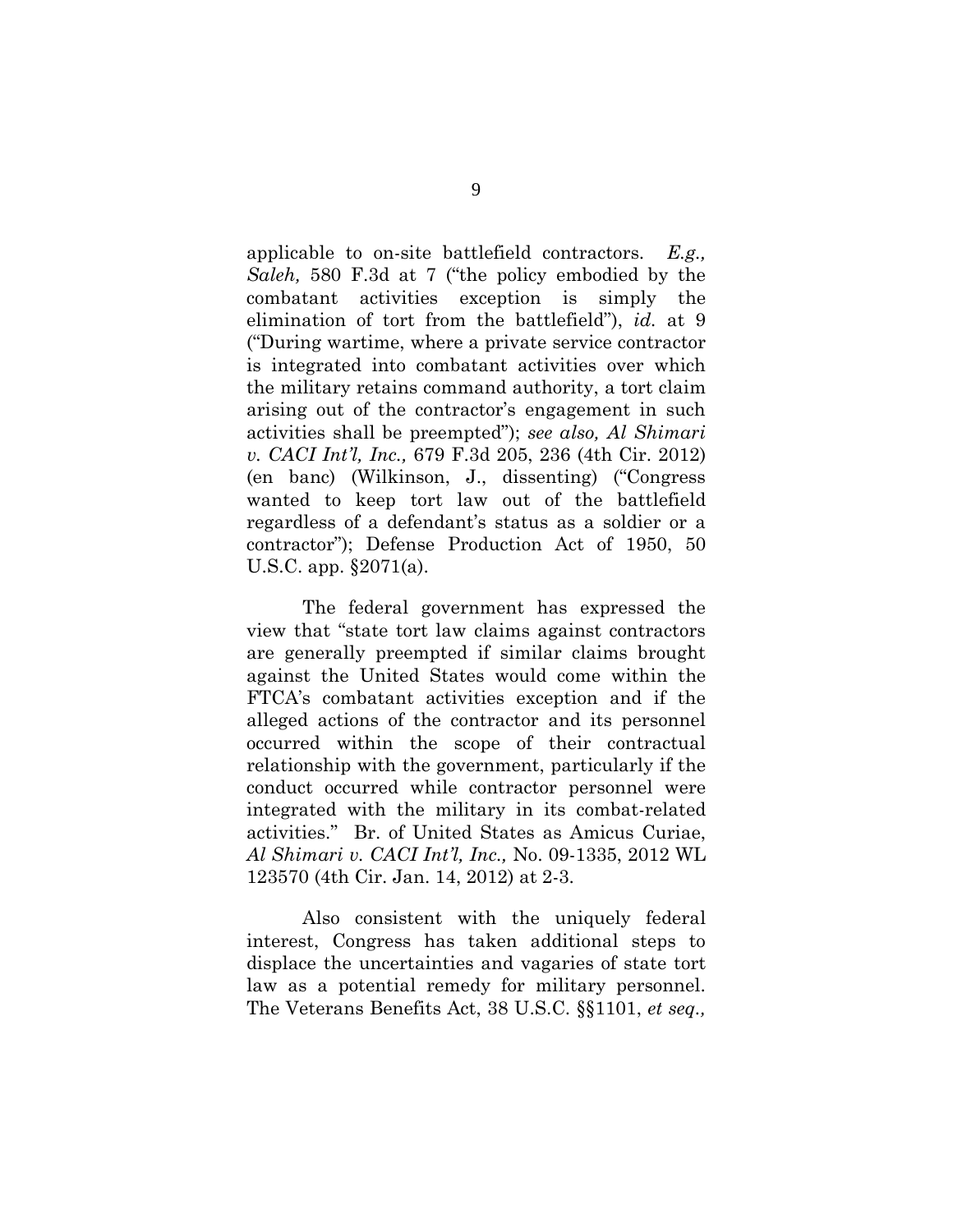<span id="page-13-1"></span><span id="page-13-0"></span>applicable to on-site battlefield contractors. *E.g., Saleh,* 580 F.3d at 7 ("the policy embodied by the combatant activities exception is simply the elimination of tort from the battlefield"), *id.* at 9 ("During wartime, where a private service contractor is integrated into combatant activities over which the military retains command authority, a tort claim arising out of the contractor's engagement in such activities shall be preempted"); *see also, Al Shimari v. CACI Int'l, Inc.,* 679 F.3d 205, 236 (4th Cir. 2012) (en banc) (Wilkinson, J., dissenting) ("Congress wanted to keep tort law out of the battlefield regardless of a defendant's status as a soldier or a contractor"); Defense Production Act of 1950, 50 U.S.C. app. §2071(a).

<span id="page-13-2"></span>The federal government has expressed the view that "state tort law claims against contractors are generally preempted if similar claims brought against the United States would come within the FTCA's combatant activities exception and if the alleged actions of the contractor and its personnel occurred within the scope of their contractual relationship with the government, particularly if the conduct occurred while contractor personnel were integrated with the military in its combat-related activities." Br. of United States as Amicus Curiae, *Al Shimari v. CACI Int'l, Inc.,* No. 09-1335, 2012 WL 123570 (4th Cir. Jan. 14, 2012) at 2-3.

<span id="page-13-3"></span>Also consistent with the uniquely federal interest, Congress has taken additional steps to displace the uncertainties and vagaries of state tort law as a potential remedy for military personnel. The Veterans Benefits Act, 38 U.S.C. §§1101, *et seq.,*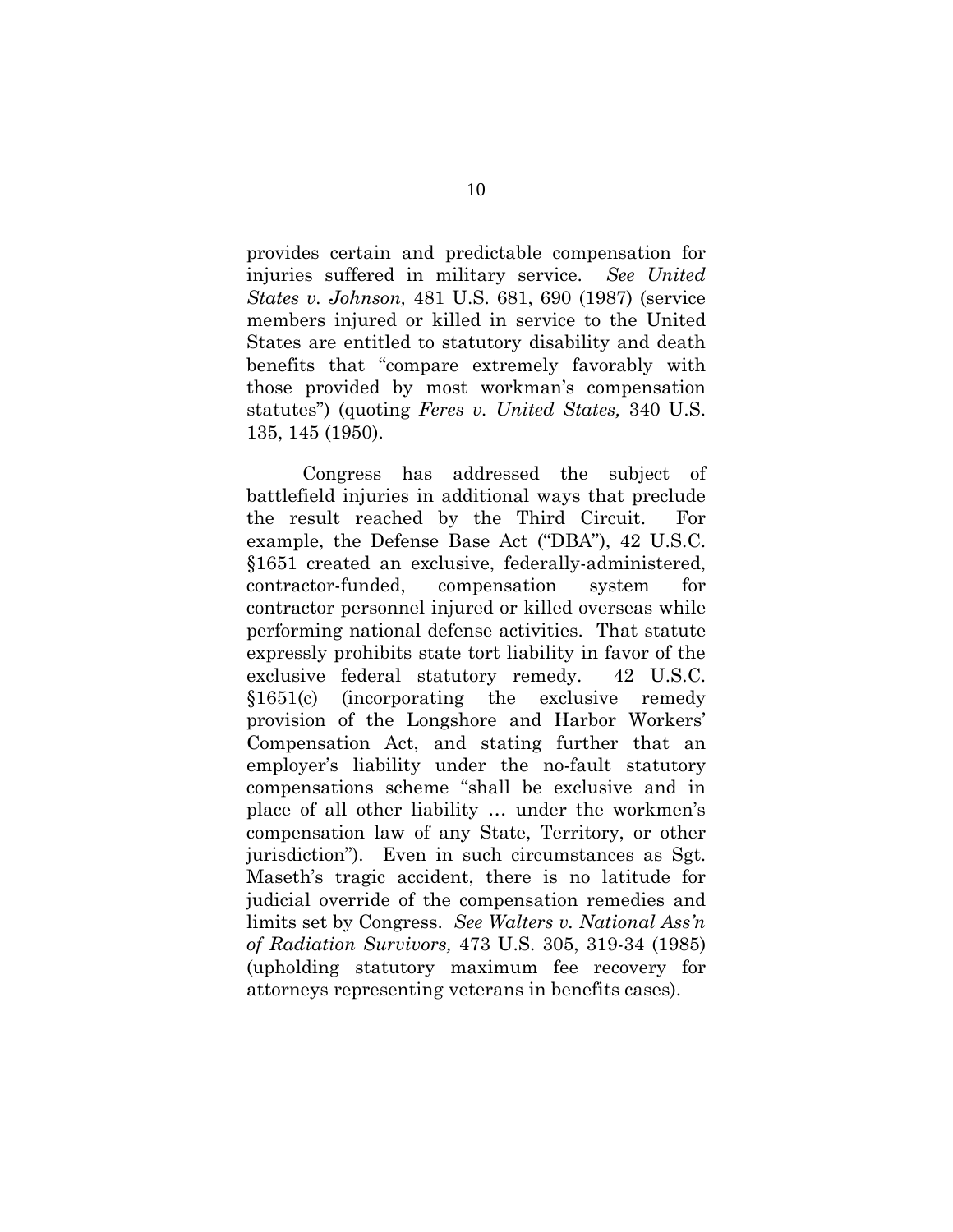<span id="page-14-0"></span>provides certain and predictable compensation for injuries suffered in military service. *See United States v. Johnson,* 481 U.S. 681, 690 (1987) (service members injured or killed in service to the United States are entitled to statutory disability and death benefits that "compare extremely favorably with those provided by most workman's compensation statutes") (quoting *Feres v. United States,* 340 U.S. 135, 145 (1950).

<span id="page-14-3"></span><span id="page-14-2"></span><span id="page-14-1"></span>Congress has addressed the subject of battlefield injuries in additional ways that preclude the result reached by the Third Circuit. For example, the Defense Base Act ("DBA"), 42 U.S.C. §1651 created an exclusive, federally-administered, contractor-funded, compensation system for contractor personnel injured or killed overseas while performing national defense activities. That statute expressly prohibits state tort liability in favor of the exclusive federal statutory remedy. 42 U.S.C. §1651(c) (incorporating the exclusive remedy provision of the Longshore and Harbor Workers' Compensation Act, and stating further that an employer's liability under the no-fault statutory compensations scheme "shall be exclusive and in place of all other liability … under the workmen's compensation law of any State, Territory, or other jurisdiction"). Even in such circumstances as Sgt. Maseth's tragic accident, there is no latitude for judicial override of the compensation remedies and limits set by Congress. *See Walters v. National Ass'n of Radiation Survivors,* 473 U.S. 305, 319-34 (1985) (upholding statutory maximum fee recovery for attorneys representing veterans in benefits cases).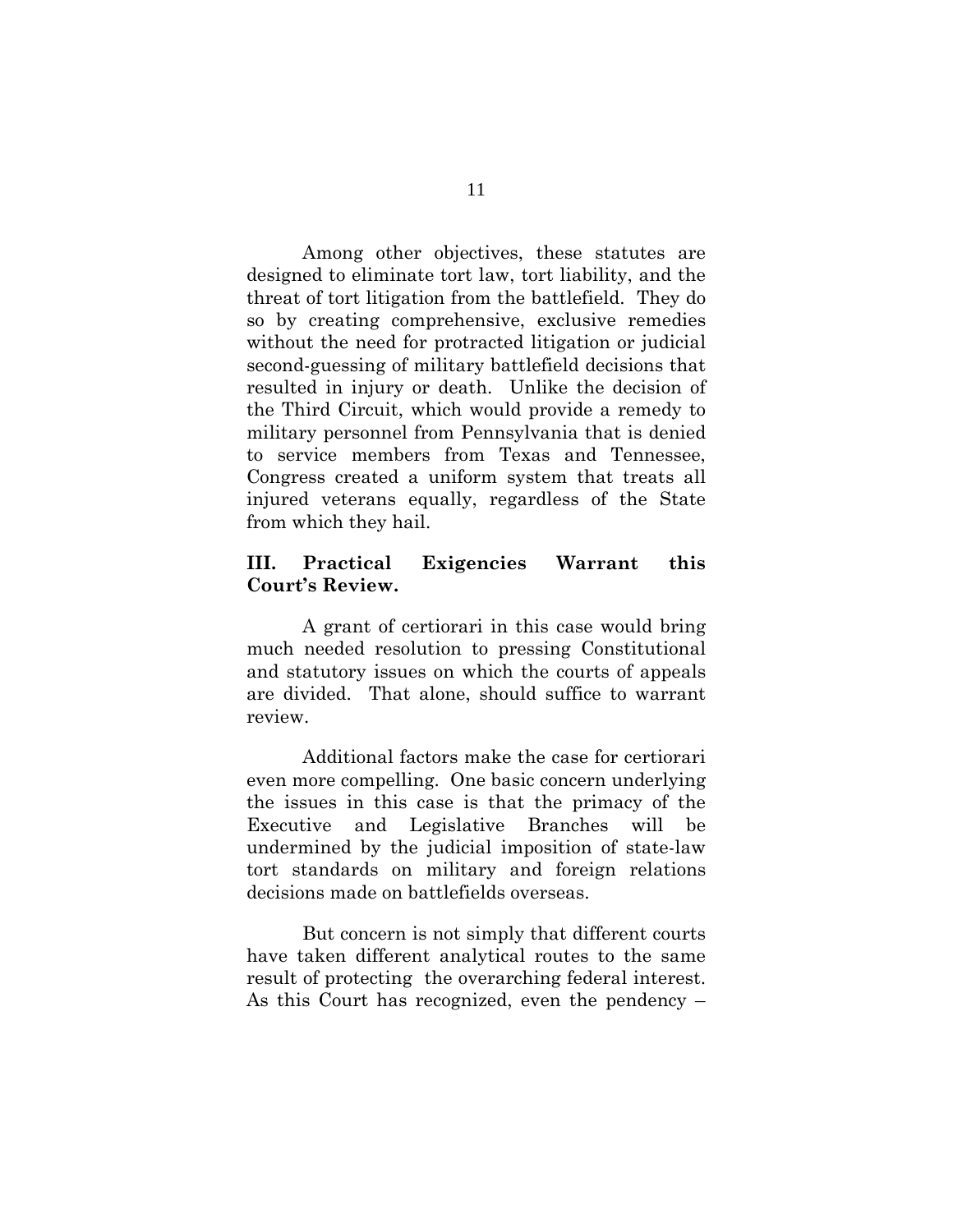Among other objectives, these statutes are designed to eliminate tort law, tort liability, and the threat of tort litigation from the battlefield. They do so by creating comprehensive, exclusive remedies without the need for protracted litigation or judicial second-guessing of military battlefield decisions that resulted in injury or death. Unlike the decision of the Third Circuit, which would provide a remedy to military personnel from Pennsylvania that is denied to service members from Texas and Tennessee, Congress created a uniform system that treats all injured veterans equally, regardless of the State from which they hail.

#### <span id="page-15-0"></span>**III. Practical Exigencies Warrant this Court's Review.**

A grant of certiorari in this case would bring much needed resolution to pressing Constitutional and statutory issues on which the courts of appeals are divided. That alone, should suffice to warrant review.

Additional factors make the case for certiorari even more compelling. One basic concern underlying the issues in this case is that the primacy of the Executive and Legislative Branches will be undermined by the judicial imposition of state-law tort standards on military and foreign relations decisions made on battlefields overseas.

But concern is not simply that different courts have taken different analytical routes to the same result of protecting the overarching federal interest. As this Court has recognized, even the pendency –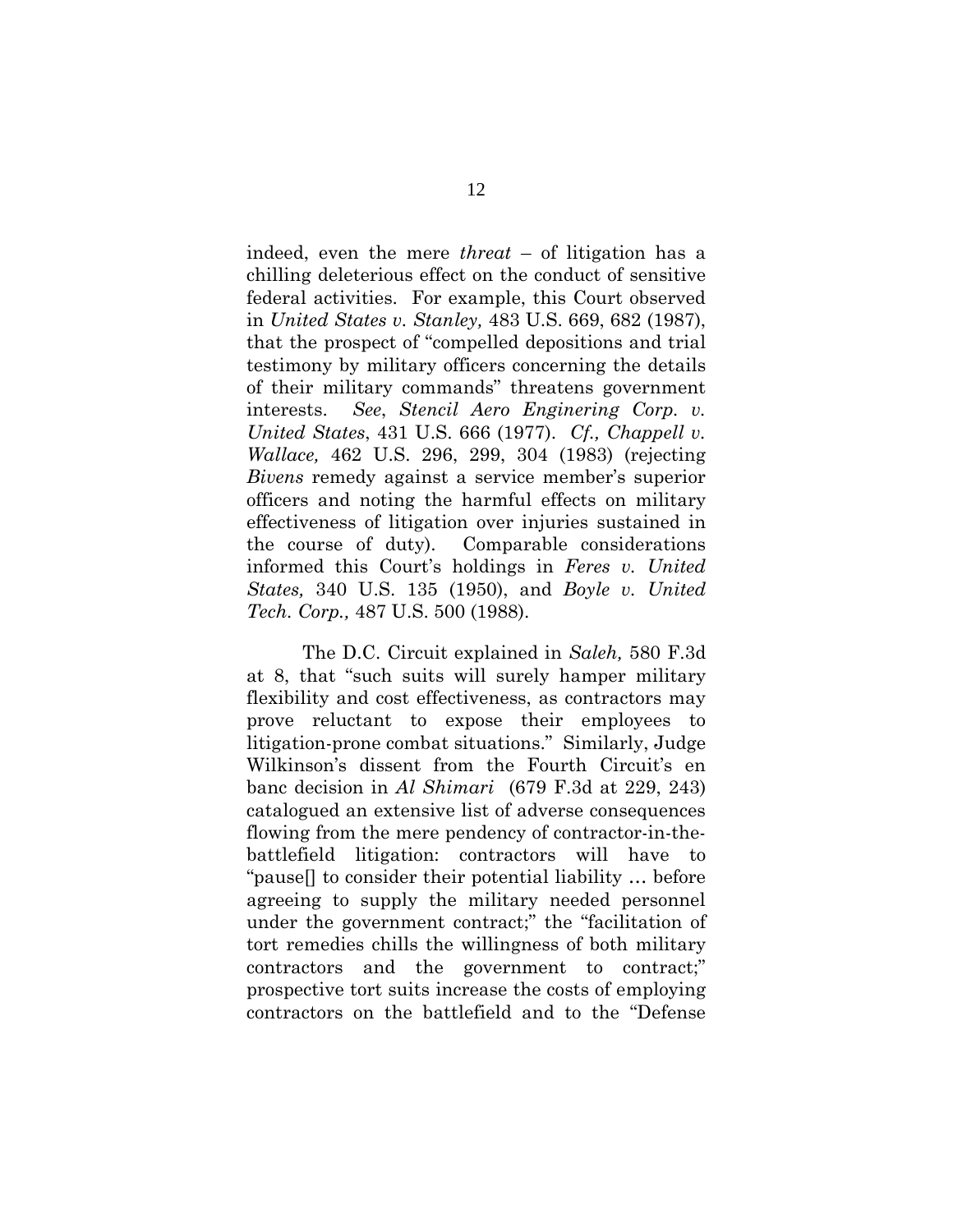<span id="page-16-6"></span><span id="page-16-5"></span><span id="page-16-2"></span>indeed, even the mere *threat* – of litigation has a chilling deleterious effect on the conduct of sensitive federal activities. For example, this Court observed in *United States v. Stanley,* 483 U.S. 669, 682 (1987), that the prospect of "compelled depositions and trial testimony by military officers concerning the details of their military commands" threatens government interests. *See*, *Stencil Aero Enginering Corp. v. United States*, 431 U.S. 666 (1977). *Cf., Chappell v. Wallace,* 462 U.S. 296, 299, 304 (1983) (rejecting *Bivens* remedy against a service member's superior officers and noting the harmful effects on military effectiveness of litigation over injuries sustained in the course of duty). Comparable considerations informed this Court's holdings in *Feres v. United States,* 340 U.S. 135 (1950), and *Boyle v. United Tech. Corp.,* 487 U.S. 500 (1988).

<span id="page-16-4"></span><span id="page-16-3"></span><span id="page-16-1"></span><span id="page-16-0"></span>The D.C. Circuit explained in *Saleh,* 580 F.3d at 8, that "such suits will surely hamper military flexibility and cost effectiveness, as contractors may prove reluctant to expose their employees to litigation-prone combat situations." Similarly, Judge Wilkinson's dissent from the Fourth Circuit's en banc decision in *Al Shimari* (679 F.3d at 229, 243) catalogued an extensive list of adverse consequences flowing from the mere pendency of contractor-in-thebattlefield litigation: contractors will have to "pause[] to consider their potential liability … before agreeing to supply the military needed personnel under the government contract;" the "facilitation of tort remedies chills the willingness of both military contractors and the government to contract;" prospective tort suits increase the costs of employing contractors on the battlefield and to the "Defense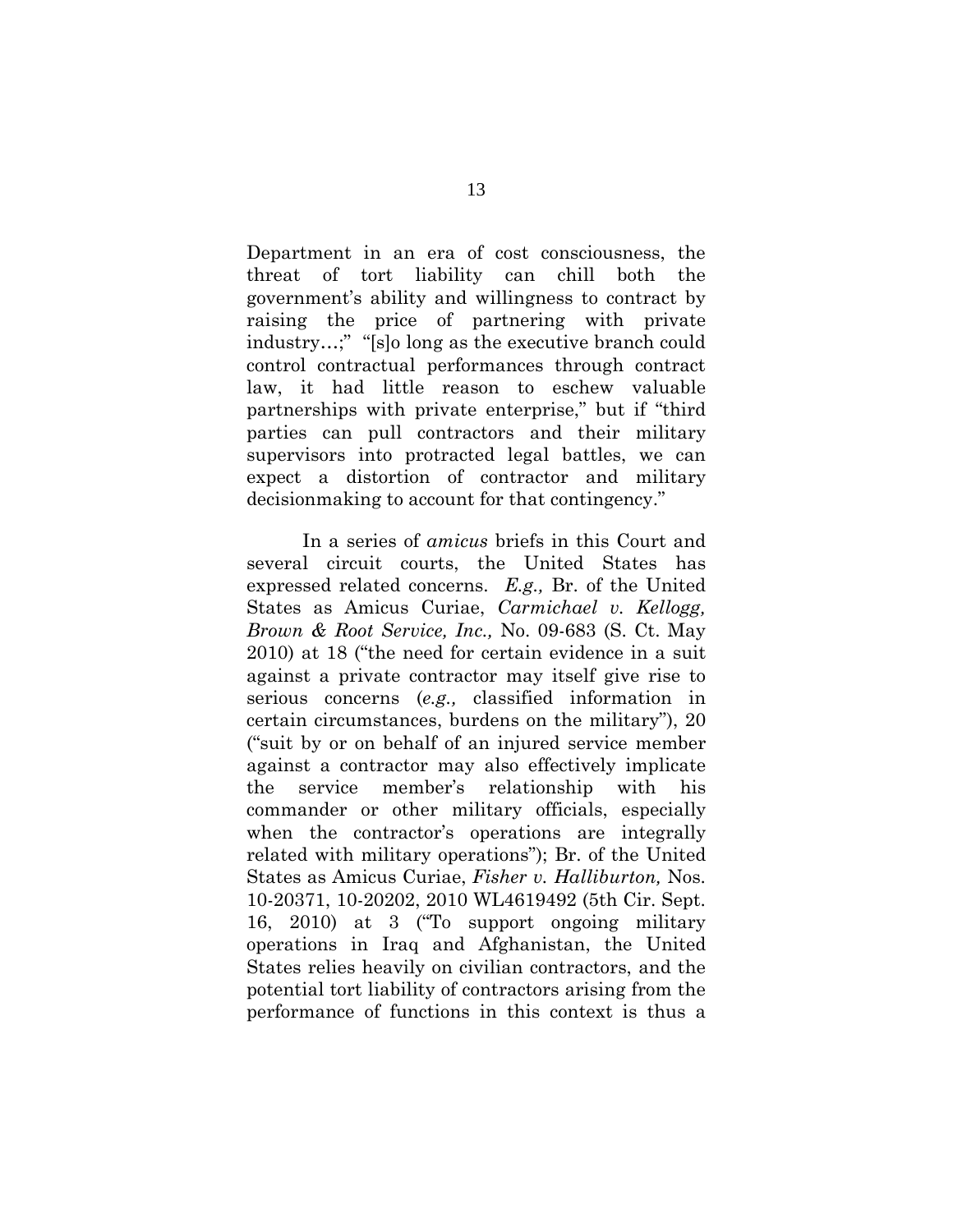Department in an era of cost consciousness, the threat of tort liability can chill both the government's ability and willingness to contract by raising the price of partnering with private industry…;" "[s]o long as the executive branch could control contractual performances through contract law, it had little reason to eschew valuable partnerships with private enterprise," but if "third parties can pull contractors and their military supervisors into protracted legal battles, we can expect a distortion of contractor and military decisionmaking to account for that contingency."

In a series of *amicus* briefs in this Court and several circuit courts, the United States has expressed related concerns. *E.g.,* Br. of the United States as Amicus Curiae, *Carmichael v. Kellogg, Brown & Root Service, Inc.,* No. 09-683 (S. Ct. May 2010) at 18 ("the need for certain evidence in a suit against a private contractor may itself give rise to serious concerns (*e.g.,* classified information in certain circumstances, burdens on the military"), 20 ("suit by or on behalf of an injured service member against a contractor may also effectively implicate the service member's relationship with his commander or other military officials, especially when the contractor's operations are integrally related with military operations"); Br. of the United States as Amicus Curiae, *Fisher v. Halliburton,* Nos. 10-20371, 10-20202, 2010 WL4619492 (5th Cir. Sept. 16, 2010) at 3 ("To support ongoing military operations in Iraq and Afghanistan, the United States relies heavily on civilian contractors, and the potential tort liability of contractors arising from the performance of functions in this context is thus a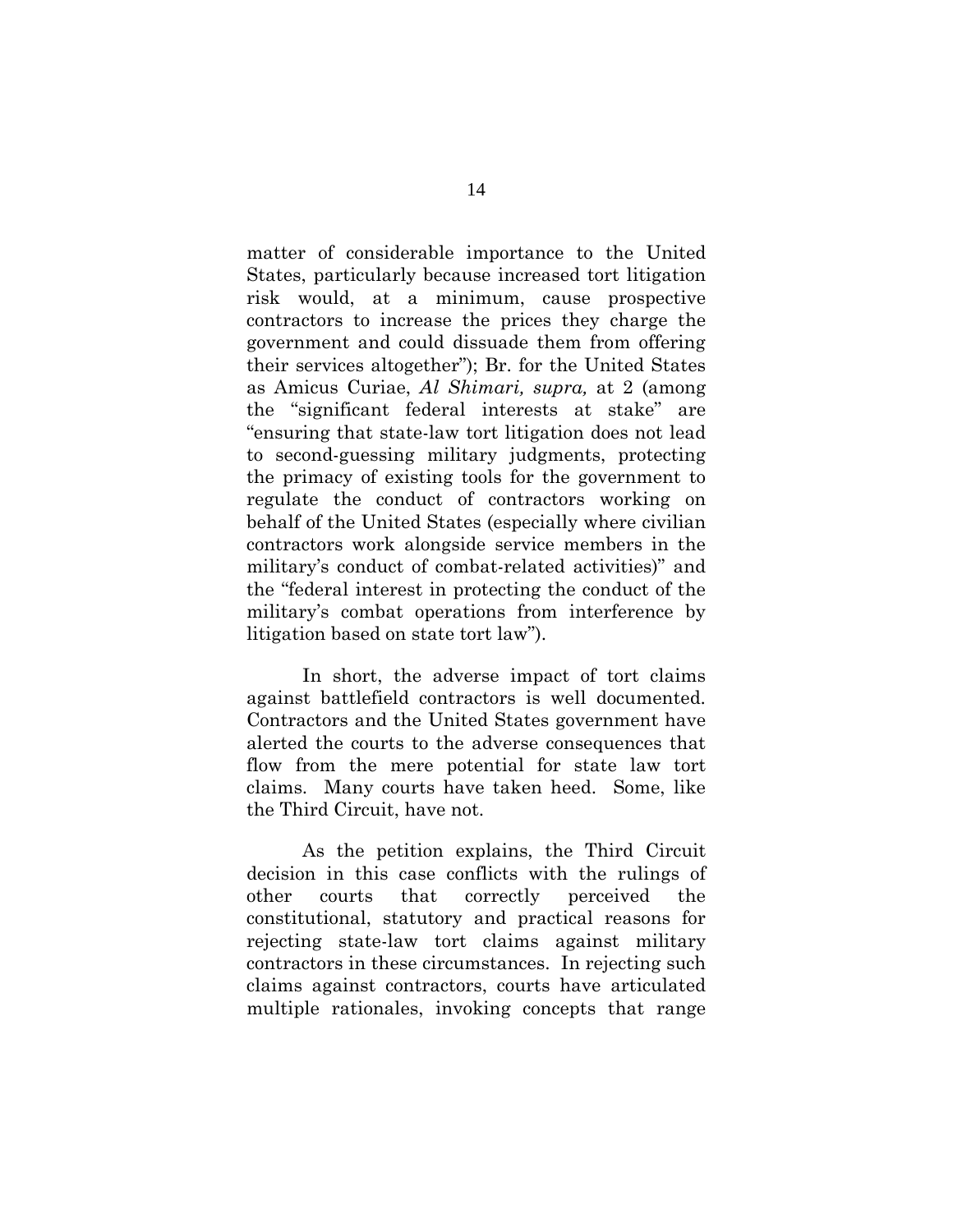<span id="page-18-0"></span>matter of considerable importance to the United States, particularly because increased tort litigation risk would, at a minimum, cause prospective contractors to increase the prices they charge the government and could dissuade them from offering their services altogether"); Br. for the United States as Amicus Curiae, *Al Shimari, supra,* at 2 (among the "significant federal interests at stake" are "ensuring that state-law tort litigation does not lead to second-guessing military judgments, protecting the primacy of existing tools for the government to regulate the conduct of contractors working on behalf of the United States (especially where civilian contractors work alongside service members in the military's conduct of combat-related activities)" and the "federal interest in protecting the conduct of the military's combat operations from interference by litigation based on state tort law").

In short, the adverse impact of tort claims against battlefield contractors is well documented. Contractors and the United States government have alerted the courts to the adverse consequences that flow from the mere potential for state law tort claims. Many courts have taken heed. Some, like the Third Circuit, have not.

As the petition explains, the Third Circuit decision in this case conflicts with the rulings of other courts that correctly perceived the constitutional, statutory and practical reasons for rejecting state-law tort claims against military contractors in these circumstances. In rejecting such claims against contractors, courts have articulated multiple rationales, invoking concepts that range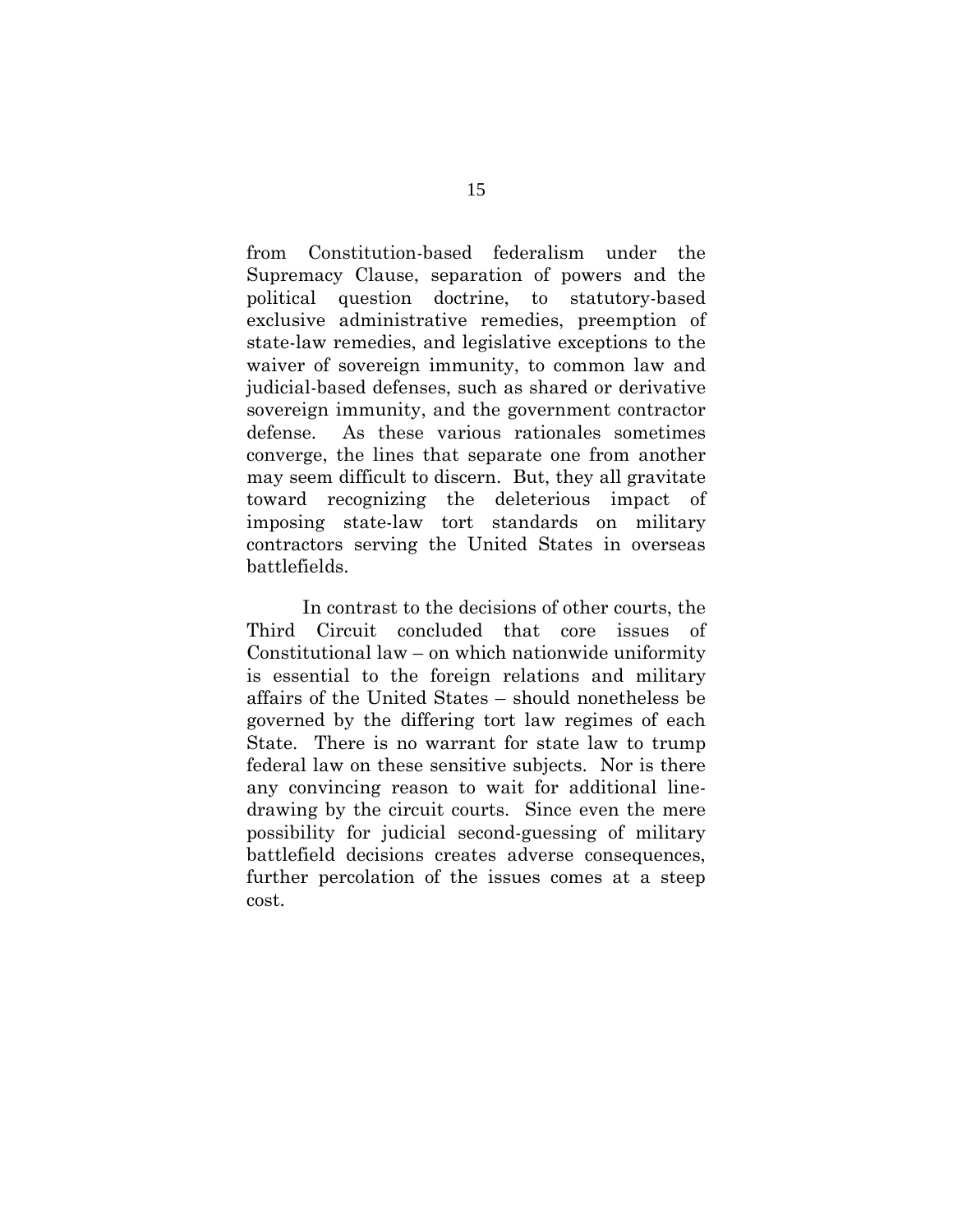from Constitution-based federalism under the Supremacy Clause, separation of powers and the political question doctrine, to statutory-based exclusive administrative remedies, preemption of state-law remedies, and legislative exceptions to the waiver of sovereign immunity, to common law and judicial-based defenses, such as shared or derivative sovereign immunity, and the government contractor defense. As these various rationales sometimes converge, the lines that separate one from another may seem difficult to discern. But, they all gravitate toward recognizing the deleterious impact of imposing state-law tort standards on military contractors serving the United States in overseas battlefields.

In contrast to the decisions of other courts, the Third Circuit concluded that core issues of Constitutional law – on which nationwide uniformity is essential to the foreign relations and military affairs of the United States – should nonetheless be governed by the differing tort law regimes of each State. There is no warrant for state law to trump federal law on these sensitive subjects. Nor is there any convincing reason to wait for additional linedrawing by the circuit courts. Since even the mere possibility for judicial second-guessing of military battlefield decisions creates adverse consequences, further percolation of the issues comes at a steep cost.